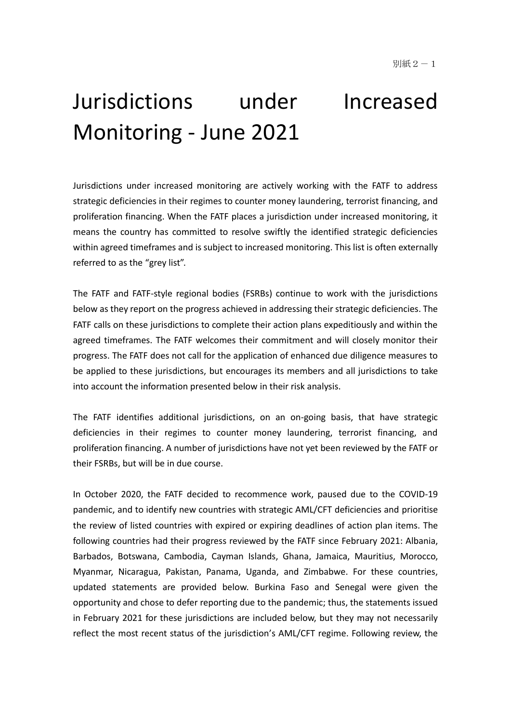# Jurisdictions under Increased Monitoring - June 2021

Jurisdictions under increased monitoring are actively working with the FATF to address strategic deficiencies in their regimes to counter money laundering, terrorist financing, and proliferation financing. When the FATF places a jurisdiction under increased monitoring, it means the country has committed to resolve swiftly the identified strategic deficiencies within agreed timeframes and is subject to increased monitoring. This list is often externally referred to as the "grey list".

The FATF and FATF-style regional bodies (FSRBs) continue to work with the jurisdictions below as they report on the progress achieved in addressing their strategic deficiencies. The FATF calls on these jurisdictions to complete their action plans expeditiously and within the agreed timeframes. The FATF welcomes their commitment and will closely monitor their progress. The FATF does not call for the application of enhanced due diligence measures to be applied to these jurisdictions, but encourages its members and all jurisdictions to take into account the information presented below in their risk analysis.

The FATF identifies additional jurisdictions, on an on-going basis, that have strategic deficiencies in their regimes to counter money laundering, terrorist financing, and proliferation financing. A number of jurisdictions have not yet been reviewed by the FATF or their FSRBs, but will be in due course.

In October 2020, the FATF decided to recommence work, paused due to the COVID-19 pandemic, and to identify new countries with strategic AML/CFT deficiencies and prioritise the review of listed countries with expired or expiring deadlines of action plan items. The following countries had their progress reviewed by the FATF since February 2021: Albania, Barbados, Botswana, Cambodia, Cayman Islands, Ghana, Jamaica, Mauritius, Morocco, Myanmar, Nicaragua, Pakistan, Panama, Uganda, and Zimbabwe. For these countries, updated statements are provided below. Burkina Faso and Senegal were given the opportunity and chose to defer reporting due to the pandemic; thus, the statements issued in February 2021 for these jurisdictions are included below, but they may not necessarily reflect the most recent status of the jurisdiction's AML/CFT regime. Following review, the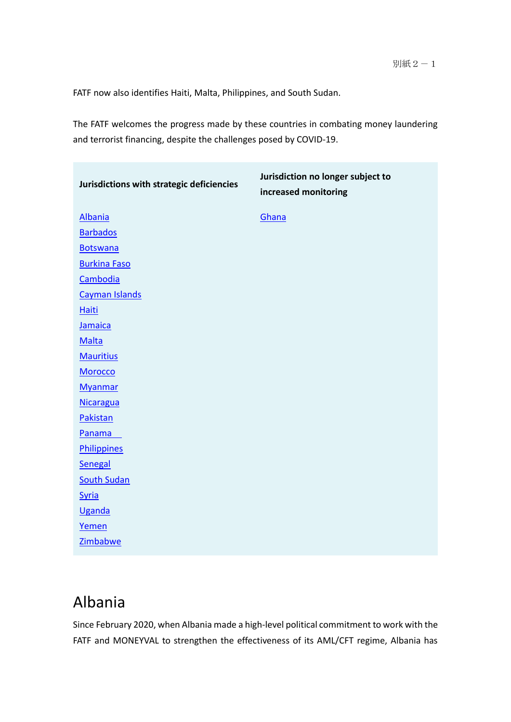FATF now also identifies Haiti, Malta, Philippines, and South Sudan.

The FATF welcomes the progress made by these countries in combating money laundering and terrorist financing, despite the challenges posed by COVID-19.

| Jurisdictions with strategic deficiencies | Jurisdiction no longer subject to<br>increased monitoring |
|-------------------------------------------|-----------------------------------------------------------|
| <b>Albania</b>                            | Ghana                                                     |
| <b>Barbados</b>                           |                                                           |
| <b>Botswana</b>                           |                                                           |
| <b>Burkina Faso</b>                       |                                                           |
| Cambodia                                  |                                                           |
| Cayman Islands                            |                                                           |
| <b>Haiti</b>                              |                                                           |
| Jamaica                                   |                                                           |
| Malta                                     |                                                           |
| <b>Mauritius</b>                          |                                                           |
| <b>Morocco</b>                            |                                                           |
| <b>Myanmar</b>                            |                                                           |
| Nicaragua                                 |                                                           |
| Pakistan                                  |                                                           |
| Panama                                    |                                                           |
| <b>Philippines</b>                        |                                                           |
| Senegal                                   |                                                           |
| <b>South Sudan</b>                        |                                                           |
| <b>Syria</b>                              |                                                           |
| Uganda                                    |                                                           |
| Yemen                                     |                                                           |
| Zimbabwe                                  |                                                           |

### Albania

Since February 2020, when Albania made a high-level political commitment to work with the FATF and MONEYVAL to strengthen the effectiveness of its AML/CFT regime, Albania has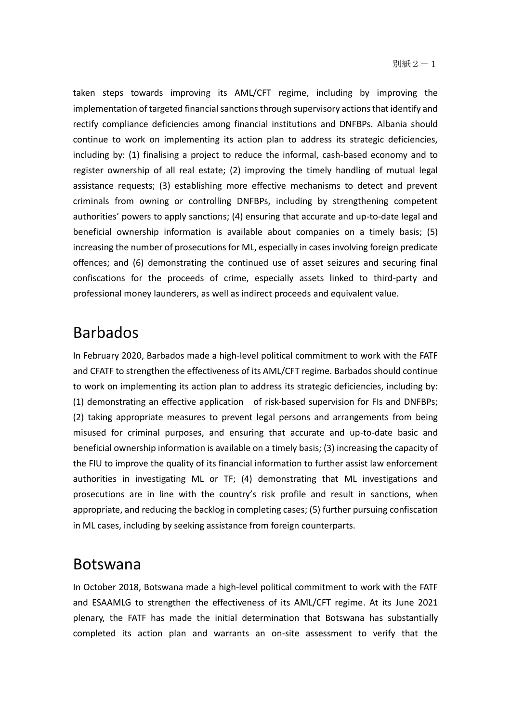taken steps towards improving its AML/CFT regime, including by improving the implementation of targeted financial sanctions through supervisory actions that identify and rectify compliance deficiencies among financial institutions and DNFBPs. Albania should continue to work on implementing its action plan to address its strategic deficiencies, including by: (1) finalising a project to reduce the informal, cash-based economy and to register ownership of all real estate; (2) improving the timely handling of mutual legal assistance requests; (3) establishing more effective mechanisms to detect and prevent criminals from owning or controlling DNFBPs, including by strengthening competent authorities' powers to apply sanctions; (4) ensuring that accurate and up-to-date legal and beneficial ownership information is available about companies on a timely basis; (5) increasing the number of prosecutions for ML, especially in cases involving foreign predicate offences; and (6) demonstrating the continued use of asset seizures and securing final confiscations for the proceeds of crime, especially assets linked to third-party and professional money launderers, as well as indirect proceeds and equivalent value.

#### Barbados

In February 2020, Barbados made a high-level political commitment to work with the FATF and CFATF to strengthen the effectiveness of its AML/CFT regime. Barbados should continue to work on implementing its action plan to address its strategic deficiencies, including by: (1) demonstrating an effective application of risk-based supervision for FIs and DNFBPs; (2) taking appropriate measures to prevent legal persons and arrangements from being misused for criminal purposes, and ensuring that accurate and up-to-date basic and beneficial ownership information is available on a timely basis; (3) increasing the capacity of the FIU to improve the quality of its financial information to further assist law enforcement authorities in investigating ML or TF; (4) demonstrating that ML investigations and prosecutions are in line with the country's risk profile and result in sanctions, when appropriate, and reducing the backlog in completing cases; (5) further pursuing confiscation in ML cases, including by seeking assistance from foreign counterparts.

#### Botswana

In October 2018, Botswana made a high-level political commitment to work with the FATF and ESAAMLG to strengthen the effectiveness of its AML/CFT regime. At its June 2021 plenary, the FATF has made the initial determination that Botswana has substantially completed its action plan and warrants an on-site assessment to verify that the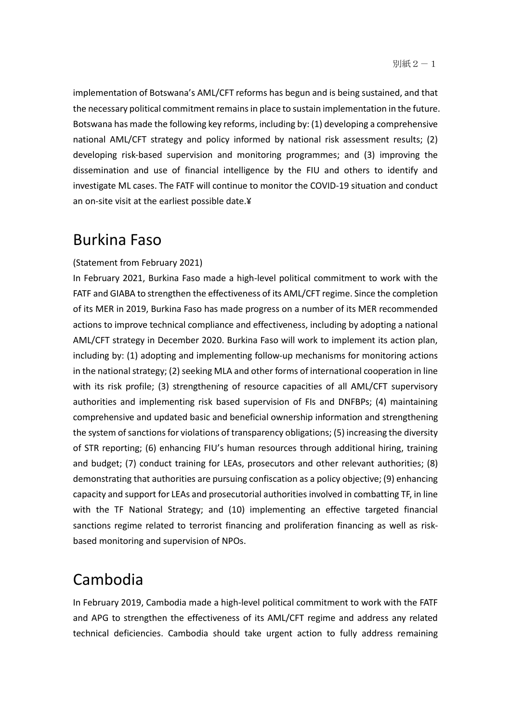implementation of Botswana's AML/CFT reforms has begun and is being sustained, and that the necessary political commitment remains in place to sustain implementation in the future. Botswana has made the following key reforms, including by: (1) developing a comprehensive national AML/CFT strategy and policy informed by national risk assessment results; (2) developing risk-based supervision and monitoring programmes; and (3) improving the dissemination and use of financial intelligence by the FIU and others to identify and investigate ML cases. The FATF will continue to monitor the COVID-19 situation and conduct an on-site visit at the earliest possible date.¥

#### Burkina Faso

#### (Statement from February 2021)

In February 2021, Burkina Faso made a high-level political commitment to work with the FATF and GIABA to strengthen the effectiveness of its AML/CFT regime. Since the completion of its MER in 2019, Burkina Faso has made progress on a number of its MER recommended actions to improve technical compliance and effectiveness, including by adopting a national AML/CFT strategy in December 2020. Burkina Faso will work to implement its action plan, including by: (1) adopting and implementing follow-up mechanisms for monitoring actions in the national strategy; (2) seeking MLA and other forms of international cooperation in line with its risk profile; (3) strengthening of resource capacities of all AML/CFT supervisory authorities and implementing risk based supervision of FIs and DNFBPs; (4) maintaining comprehensive and updated basic and beneficial ownership information and strengthening the system of sanctions for violations of transparency obligations; (5) increasing the diversity of STR reporting; (6) enhancing FIU's human resources through additional hiring, training and budget; (7) conduct training for LEAs, prosecutors and other relevant authorities; (8) demonstrating that authorities are pursuing confiscation as a policy objective; (9) enhancing capacity and support for LEAs and prosecutorial authorities involved in combatting TF, in line with the TF National Strategy; and (10) implementing an effective targeted financial sanctions regime related to terrorist financing and proliferation financing as well as riskbased monitoring and supervision of NPOs.

#### Cambodia

In February 2019, Cambodia made a high-level political commitment to work with the FATF and APG to strengthen the effectiveness of its AML/CFT regime and address any related technical deficiencies. Cambodia should take urgent action to fully address remaining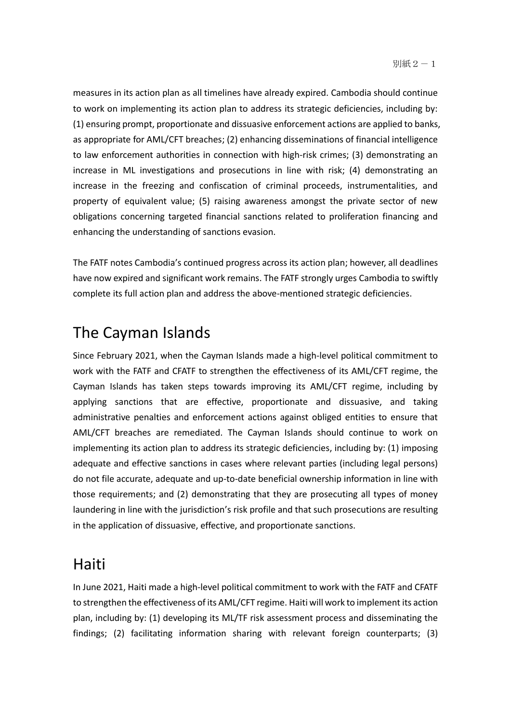measures in its action plan as all timelines have already expired. Cambodia should continue to work on implementing its action plan to address its strategic deficiencies, including by: (1) ensuring prompt, proportionate and dissuasive enforcement actions are applied to banks, as appropriate for AML/CFT breaches; (2) enhancing disseminations of financial intelligence to law enforcement authorities in connection with high-risk crimes; (3) demonstrating an increase in ML investigations and prosecutions in line with risk; (4) demonstrating an increase in the freezing and confiscation of criminal proceeds, instrumentalities, and property of equivalent value; (5) raising awareness amongst the private sector of new obligations concerning targeted financial sanctions related to proliferation financing and enhancing the understanding of sanctions evasion.

The FATF notes Cambodia's continued progress across its action plan; however, all deadlines have now expired and significant work remains. The FATF strongly urges Cambodia to swiftly complete its full action plan and address the above-mentioned strategic deficiencies.

### The Cayman Islands

Since February 2021, when the Cayman Islands made a high-level political commitment to work with the FATF and CFATF to strengthen the effectiveness of its AML/CFT regime, the Cayman Islands has taken steps towards improving its AML/CFT regime, including by applying sanctions that are effective, proportionate and dissuasive, and taking administrative penalties and enforcement actions against obliged entities to ensure that AML/CFT breaches are remediated. The Cayman Islands should continue to work on implementing its action plan to address its strategic deficiencies, including by: (1) imposing adequate and effective sanctions in cases where relevant parties (including legal persons) do not file accurate, adequate and up-to-date beneficial ownership information in line with those requirements; and (2) demonstrating that they are prosecuting all types of money laundering in line with the jurisdiction's risk profile and that such prosecutions are resulting in the application of dissuasive, effective, and proportionate sanctions.

#### **Haiti**

In June 2021, Haiti made a high-level political commitment to work with the FATF and CFATF to strengthen the effectiveness of its AML/CFT regime. Haiti will work to implement its action plan, including by: (1) developing its ML/TF risk assessment process and disseminating the findings; (2) facilitating information sharing with relevant foreign counterparts; (3)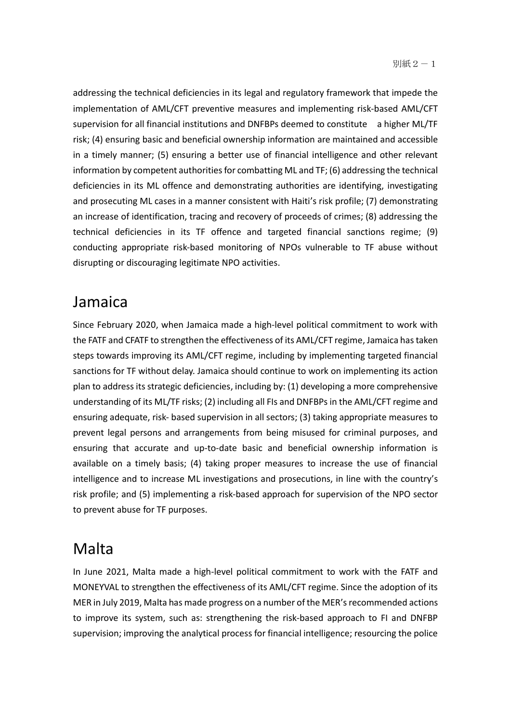addressing the technical deficiencies in its legal and regulatory framework that impede the implementation of AML/CFT preventive measures and implementing risk-based AML/CFT supervision for all financial institutions and DNFBPs deemed to constitute a higher ML/TF risk; (4) ensuring basic and beneficial ownership information are maintained and accessible in a timely manner; (5) ensuring a better use of financial intelligence and other relevant information by competent authorities for combatting ML and TF; (6) addressing the technical deficiencies in its ML offence and demonstrating authorities are identifying, investigating and prosecuting ML cases in a manner consistent with Haiti's risk profile; (7) demonstrating an increase of identification, tracing and recovery of proceeds of crimes; (8) addressing the technical deficiencies in its TF offence and targeted financial sanctions regime; (9) conducting appropriate risk-based monitoring of NPOs vulnerable to TF abuse without disrupting or discouraging legitimate NPO activities.

#### Jamaica

Since February 2020, when Jamaica made a high-level political commitment to work with the FATF and CFATF to strengthen the effectiveness of its AML/CFT regime, Jamaica has taken steps towards improving its AML/CFT regime, including by implementing targeted financial sanctions for TF without delay. Jamaica should continue to work on implementing its action plan to address its strategic deficiencies, including by: (1) developing a more comprehensive understanding of its ML/TF risks; (2) including all FIs and DNFBPs in the AML/CFT regime and ensuring adequate, risk- based supervision in all sectors; (3) taking appropriate measures to prevent legal persons and arrangements from being misused for criminal purposes, and ensuring that accurate and up-to-date basic and beneficial ownership information is available on a timely basis; (4) taking proper measures to increase the use of financial intelligence and to increase ML investigations and prosecutions, in line with the country's risk profile; and (5) implementing a risk-based approach for supervision of the NPO sector to prevent abuse for TF purposes.

#### Malta

In June 2021, Malta made a high-level political commitment to work with the FATF and MONEYVAL to strengthen the effectiveness of its AML/CFT regime. Since the adoption of its MER in July 2019, Malta has made progress on a number of the MER's recommended actions to improve its system, such as: strengthening the risk-based approach to FI and DNFBP supervision; improving the analytical process for financial intelligence; resourcing the police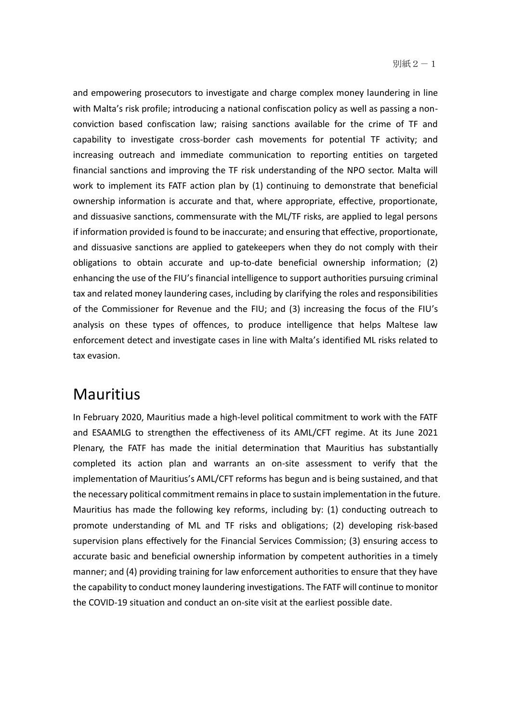and empowering prosecutors to investigate and charge complex money laundering in line with Malta's risk profile; introducing a national confiscation policy as well as passing a nonconviction based confiscation law; raising sanctions available for the crime of TF and capability to investigate cross-border cash movements for potential TF activity; and increasing outreach and immediate communication to reporting entities on targeted financial sanctions and improving the TF risk understanding of the NPO sector. Malta will work to implement its FATF action plan by (1) continuing to demonstrate that beneficial ownership information is accurate and that, where appropriate, effective, proportionate, and dissuasive sanctions, commensurate with the ML/TF risks, are applied to legal persons if information provided is found to be inaccurate; and ensuring that effective, proportionate, and dissuasive sanctions are applied to gatekeepers when they do not comply with their obligations to obtain accurate and up-to-date beneficial ownership information; (2) enhancing the use of the FIU's financial intelligence to support authorities pursuing criminal tax and related money laundering cases, including by clarifying the roles and responsibilities of the Commissioner for Revenue and the FIU; and (3) increasing the focus of the FIU's analysis on these types of offences, to produce intelligence that helps Maltese law enforcement detect and investigate cases in line with Malta's identified ML risks related to tax evasion.

#### **Mauritius**

In February 2020, Mauritius made a high-level political commitment to work with the FATF and ESAAMLG to strengthen the effectiveness of its AML/CFT regime. At its June 2021 Plenary, the FATF has made the initial determination that Mauritius has substantially completed its action plan and warrants an on-site assessment to verify that the implementation of Mauritius's AML/CFT reforms has begun and is being sustained, and that the necessary political commitment remains in place to sustain implementation in the future. Mauritius has made the following key reforms, including by: (1) conducting outreach to promote understanding of ML and TF risks and obligations; (2) developing risk-based supervision plans effectively for the Financial Services Commission; (3) ensuring access to accurate basic and beneficial ownership information by competent authorities in a timely manner; and (4) providing training for law enforcement authorities to ensure that they have the capability to conduct money laundering investigations. The FATF will continue to monitor the COVID-19 situation and conduct an on-site visit at the earliest possible date.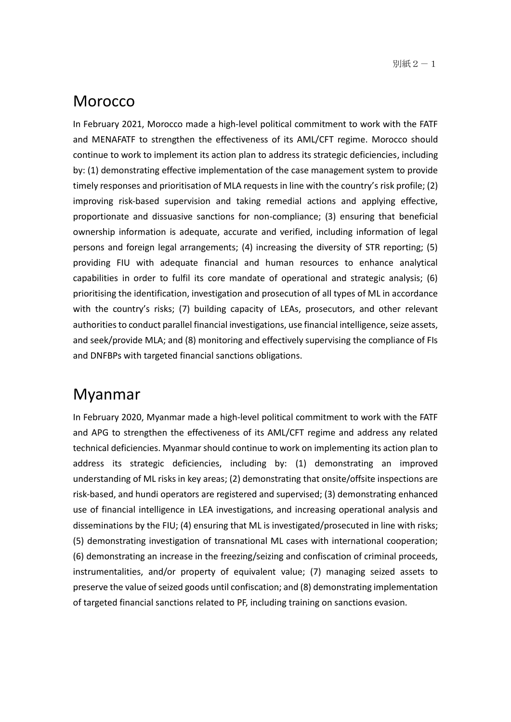#### **Morocco**

In February 2021, Morocco made a high-level political commitment to work with the FATF and MENAFATF to strengthen the effectiveness of its AML/CFT regime. Morocco should continue to work to implement its action plan to address its strategic deficiencies, including by: (1) demonstrating effective implementation of the case management system to provide timely responses and prioritisation of MLA requests in line with the country's risk profile; (2) improving risk-based supervision and taking remedial actions and applying effective, proportionate and dissuasive sanctions for non-compliance; (3) ensuring that beneficial ownership information is adequate, accurate and verified, including information of legal persons and foreign legal arrangements; (4) increasing the diversity of STR reporting; (5) providing FIU with adequate financial and human resources to enhance analytical capabilities in order to fulfil its core mandate of operational and strategic analysis; (6) prioritising the identification, investigation and prosecution of all types of ML in accordance with the country's risks; (7) building capacity of LEAs, prosecutors, and other relevant authorities to conduct parallel financial investigations, use financial intelligence, seize assets, and seek/provide MLA; and (8) monitoring and effectively supervising the compliance of FIs and DNFBPs with targeted financial sanctions obligations.

#### Myanmar

In February 2020, Myanmar made a high-level political commitment to work with the FATF and APG to strengthen the effectiveness of its AML/CFT regime and address any related technical deficiencies. Myanmar should continue to work on implementing its action plan to address its strategic deficiencies, including by: (1) demonstrating an improved understanding of ML risks in key areas; (2) demonstrating that onsite/offsite inspections are risk-based, and hundi operators are registered and supervised; (3) demonstrating enhanced use of financial intelligence in LEA investigations, and increasing operational analysis and disseminations by the FIU; (4) ensuring that ML is investigated/prosecuted in line with risks; (5) demonstrating investigation of transnational ML cases with international cooperation; (6) demonstrating an increase in the freezing/seizing and confiscation of criminal proceeds, instrumentalities, and/or property of equivalent value; (7) managing seized assets to preserve the value of seized goods until confiscation; and (8) demonstrating implementation of targeted financial sanctions related to PF, including training on sanctions evasion.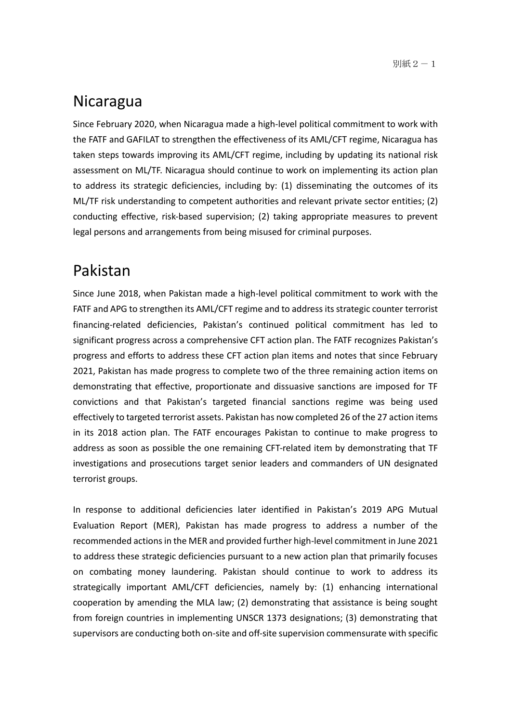#### Nicaragua

Since February 2020, when Nicaragua made a high-level political commitment to work with the FATF and GAFILAT to strengthen the effectiveness of its AML/CFT regime, Nicaragua has taken steps towards improving its AML/CFT regime, including by updating its national risk assessment on ML/TF. Nicaragua should continue to work on implementing its action plan to address its strategic deficiencies, including by: (1) disseminating the outcomes of its ML/TF risk understanding to competent authorities and relevant private sector entities; (2) conducting effective, risk-based supervision; (2) taking appropriate measures to prevent legal persons and arrangements from being misused for criminal purposes.

#### Pakistan

Since June 2018, when Pakistan made a high-level political commitment to work with the FATF and APG to strengthen its AML/CFT regime and to address its strategic counter terrorist financing-related deficiencies, Pakistan's continued political commitment has led to significant progress across a comprehensive CFT action plan. The FATF recognizes Pakistan's progress and efforts to address these CFT action plan items and notes that since February 2021, Pakistan has made progress to complete two of the three remaining action items on demonstrating that effective, proportionate and dissuasive sanctions are imposed for TF convictions and that Pakistan's targeted financial sanctions regime was being used effectively to targeted terrorist assets. Pakistan has now completed 26 of the 27 action items in its 2018 action plan. The FATF encourages Pakistan to continue to make progress to address as soon as possible the one remaining CFT-related item by demonstrating that TF investigations and prosecutions target senior leaders and commanders of UN designated terrorist groups.

In response to additional deficiencies later identified in Pakistan's 2019 APG Mutual Evaluation Report (MER), Pakistan has made progress to address a number of the recommended actions in the MER and provided further high-level commitment in June 2021 to address these strategic deficiencies pursuant to a new action plan that primarily focuses on combating money laundering. Pakistan should continue to work to address its strategically important AML/CFT deficiencies, namely by: (1) enhancing international cooperation by amending the MLA law; (2) demonstrating that assistance is being sought from foreign countries in implementing UNSCR 1373 designations; (3) demonstrating that supervisors are conducting both on-site and off-site supervision commensurate with specific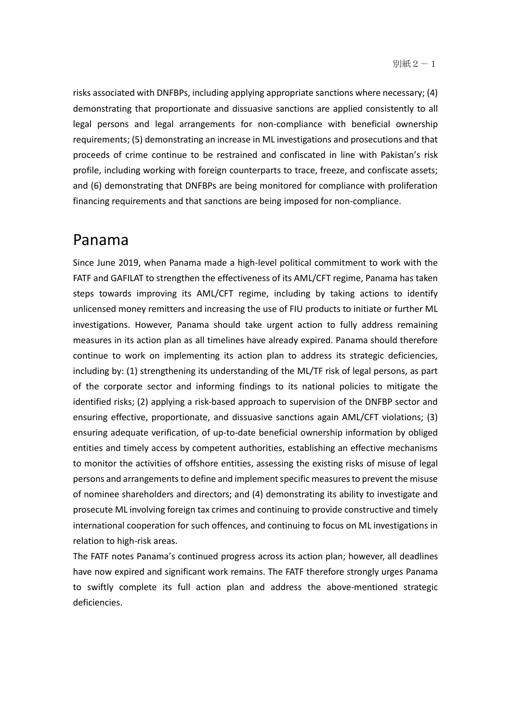risks associated with DNFBPs, including applying appropriate sanctions where necessary; (4) demonstrating that proportionate and dissuasive sanctions are applied consistently to all legal persons and legal arrangements for non-compliance with beneficial ownership requirements; (5) demonstrating an increase in ML investigations and prosecutions and that proceeds of crime continue to be restrained and confiscated in line with Pakistan's risk profile, including working with foreign counterparts to trace, freeze, and confiscate assets; and (6) demonstrating that DNFBPs are being monitored for compliance with proliferation financing requirements and that sanctions are being imposed for non-compliance.

#### Panama

Since June 2019, when Panama made a high-level political commitment to work with the FATF and GAFILAT to strengthen the effectiveness of its AML/CFT regime, Panama has taken steps towards improving its AML/CFT regime, including by taking actions to identify unlicensed money remitters and increasing the use of FIU products to initiate or further ML investigations. However, Panama should take urgent action to fully address remaining measures in its action plan as all timelines have already expired. Panama should therefore continue to work on implementing its action plan to address its strategic deficiencies, including by: (1) strengthening its understanding of the ML/TF risk of legal persons, as part of the corporate sector and informing findings to its national policies to mitigate the identified risks; (2) applying a risk-based approach to supervision of the DNFBP sector and ensuring effective, proportionate, and dissuasive sanctions again AML/CFT violations; (3) ensuring adequate verification, of up-to-date beneficial ownership information by obliged entities and timely access by competent authorities, establishing an effective mechanisms to monitor the activities of offshore entities, assessing the existing risks of misuse of legal persons and arrangements to define and implement specific measures to prevent the misuse of nominee shareholders and directors; and (4) demonstrating its ability to investigate and prosecute ML involving foreign tax crimes and continuing to provide constructive and timely international cooperation for such offences, and continuing to focus on ML investigations in relation to high-risk areas.

The FATF notes Panama's continued progress across its action plan; however, all deadlines have now expired and significant work remains. The FATF therefore strongly urges Panama to swiftly complete its full action plan and address the above-mentioned strategic deficiencies.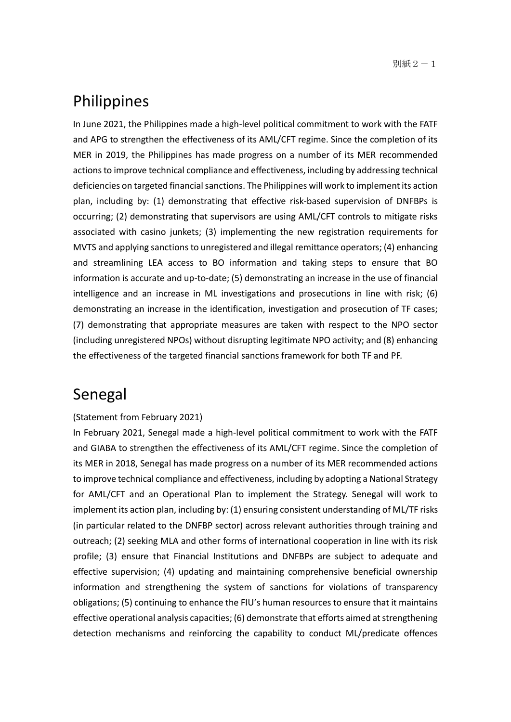#### Philippines

In June 2021, the Philippines made a high-level political commitment to work with the FATF and APG to strengthen the effectiveness of its AML/CFT regime. Since the completion of its MER in 2019, the Philippines has made progress on a number of its MER recommended actions to improve technical compliance and effectiveness, including by addressing technical deficiencies on targeted financial sanctions. The Philippines will work to implement its action plan, including by: (1) demonstrating that effective risk-based supervision of DNFBPs is occurring; (2) demonstrating that supervisors are using AML/CFT controls to mitigate risks associated with casino junkets; (3) implementing the new registration requirements for MVTS and applying sanctions to unregistered and illegal remittance operators; (4) enhancing and streamlining LEA access to BO information and taking steps to ensure that BO information is accurate and up-to-date; (5) demonstrating an increase in the use of financial intelligence and an increase in ML investigations and prosecutions in line with risk; (6) demonstrating an increase in the identification, investigation and prosecution of TF cases; (7) demonstrating that appropriate measures are taken with respect to the NPO sector (including unregistered NPOs) without disrupting legitimate NPO activity; and (8) enhancing the effectiveness of the targeted financial sanctions framework for both TF and PF.

#### Senegal

#### (Statement from February 2021)

In February 2021, Senegal made a high-level political commitment to work with the FATF and GIABA to strengthen the effectiveness of its AML/CFT regime. Since the completion of its MER in 2018, Senegal has made progress on a number of its MER recommended actions to improve technical compliance and effectiveness, including by adopting a National Strategy for AML/CFT and an Operational Plan to implement the Strategy. Senegal will work to implement its action plan, including by: (1) ensuring consistent understanding of ML/TF risks (in particular related to the DNFBP sector) across relevant authorities through training and outreach; (2) seeking MLA and other forms of international cooperation in line with its risk profile; (3) ensure that Financial Institutions and DNFBPs are subject to adequate and effective supervision; (4) updating and maintaining comprehensive beneficial ownership information and strengthening the system of sanctions for violations of transparency obligations; (5) continuing to enhance the FIU's human resources to ensure that it maintains effective operational analysis capacities; (6) demonstrate that efforts aimed at strengthening detection mechanisms and reinforcing the capability to conduct ML/predicate offences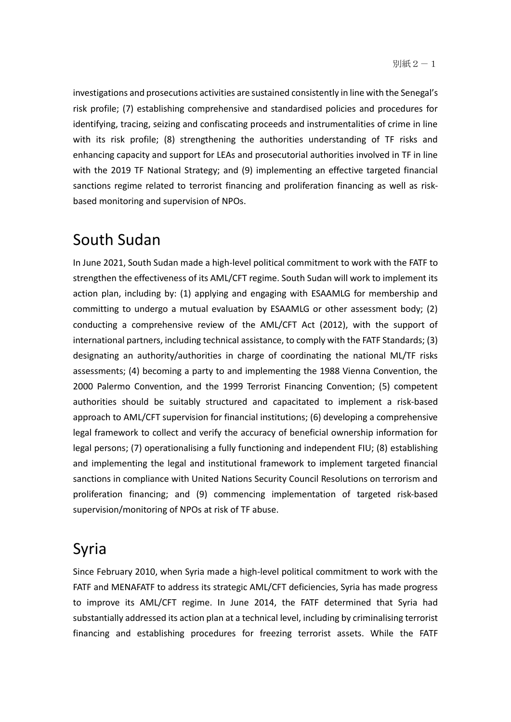investigations and prosecutions activities are sustained consistently in line with the Senegal's risk profile; (7) establishing comprehensive and standardised policies and procedures for identifying, tracing, seizing and confiscating proceeds and instrumentalities of crime in line with its risk profile; (8) strengthening the authorities understanding of TF risks and enhancing capacity and support for LEAs and prosecutorial authorities involved in TF in line with the 2019 TF National Strategy; and (9) implementing an effective targeted financial sanctions regime related to terrorist financing and proliferation financing as well as riskbased monitoring and supervision of NPOs.

#### South Sudan

In June 2021, South Sudan made a high-level political commitment to work with the FATF to strengthen the effectiveness of its AML/CFT regime. South Sudan will work to implement its action plan, including by: (1) applying and engaging with ESAAMLG for membership and committing to undergo a mutual evaluation by ESAAMLG or other assessment body; (2) conducting a comprehensive review of the AML/CFT Act (2012), with the support of international partners, including technical assistance, to comply with the FATF Standards; (3) designating an authority/authorities in charge of coordinating the national ML/TF risks assessments; (4) becoming a party to and implementing the 1988 Vienna Convention, the 2000 Palermo Convention, and the 1999 Terrorist Financing Convention; (5) competent authorities should be suitably structured and capacitated to implement a risk-based approach to AML/CFT supervision for financial institutions; (6) developing a comprehensive legal framework to collect and verify the accuracy of beneficial ownership information for legal persons; (7) operationalising a fully functioning and independent FIU; (8) establishing and implementing the legal and institutional framework to implement targeted financial sanctions in compliance with United Nations Security Council Resolutions on terrorism and proliferation financing; and (9) commencing implementation of targeted risk-based supervision/monitoring of NPOs at risk of TF abuse.

#### Syria

Since February 2010, when Syria made a high-level political commitment to work with the FATF and MENAFATF to address its strategic AML/CFT deficiencies, Syria has made progress to improve its AML/CFT regime. In June 2014, the FATF determined that Syria had substantially addressed its action plan at a technical level, including by criminalising terrorist financing and establishing procedures for freezing terrorist assets. While the FATF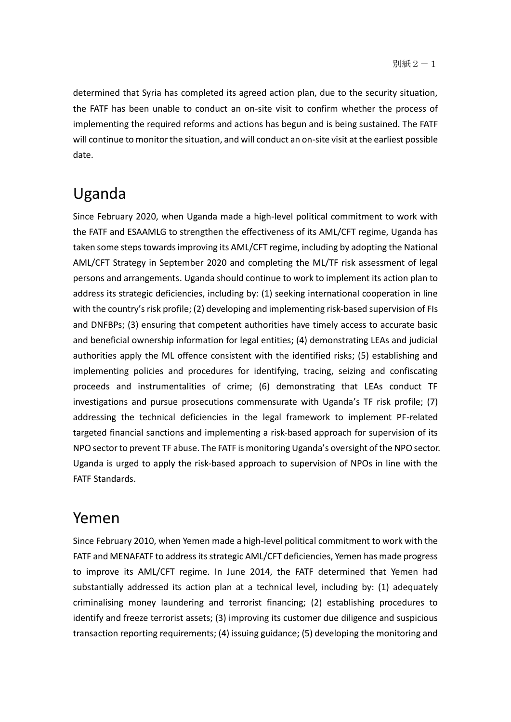determined that Syria has completed its agreed action plan, due to the security situation, the FATF has been unable to conduct an on-site visit to confirm whether the process of implementing the required reforms and actions has begun and is being sustained. The FATF will continue to monitor the situation, and will conduct an on-site visit at the earliest possible date.

#### Uganda

Since February 2020, when Uganda made a high-level political commitment to work with the FATF and ESAAMLG to strengthen the effectiveness of its AML/CFT regime, Uganda has taken some steps towards improving its AML/CFT regime, including by adopting the National AML/CFT Strategy in September 2020 and completing the ML/TF risk assessment of legal persons and arrangements. Uganda should continue to work to implement its action plan to address its strategic deficiencies, including by: (1) seeking international cooperation in line with the country's risk profile; (2) developing and implementing risk-based supervision of FIs and DNFBPs; (3) ensuring that competent authorities have timely access to accurate basic and beneficial ownership information for legal entities; (4) demonstrating LEAs and judicial authorities apply the ML offence consistent with the identified risks; (5) establishing and implementing policies and procedures for identifying, tracing, seizing and confiscating proceeds and instrumentalities of crime; (6) demonstrating that LEAs conduct TF investigations and pursue prosecutions commensurate with Uganda's TF risk profile; (7) addressing the technical deficiencies in the legal framework to implement PF-related targeted financial sanctions and implementing a risk-based approach for supervision of its NPO sector to prevent TF abuse. The FATF is monitoring Uganda's oversight of the NPO sector. Uganda is urged to apply the risk-based approach to supervision of NPOs in line with the FATF Standards.

#### Yemen

Since February 2010, when Yemen made a high-level political commitment to work with the FATF and MENAFATF to address its strategic AML/CFT deficiencies, Yemen has made progress to improve its AML/CFT regime. In June 2014, the FATF determined that Yemen had substantially addressed its action plan at a technical level, including by: (1) adequately criminalising money laundering and terrorist financing; (2) establishing procedures to identify and freeze terrorist assets; (3) improving its customer due diligence and suspicious transaction reporting requirements; (4) issuing guidance; (5) developing the monitoring and